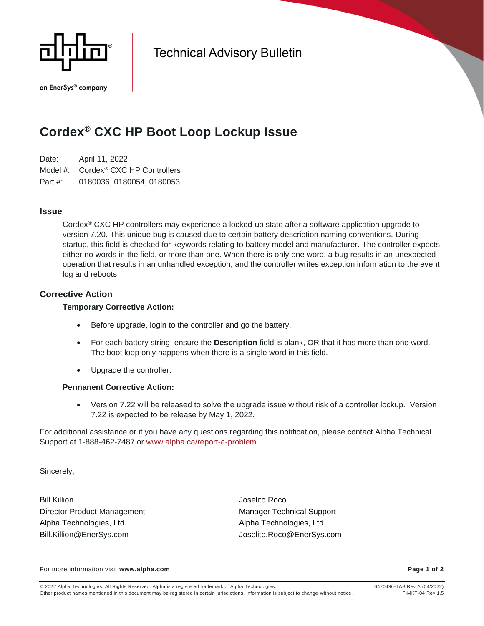

an EnerSys® company

**Technical Advisory Bulletin** 

# **Cordex® CXC HP Boot Loop Lockup Issue**

Date: April 11, 2022 Model #: Cordex® CXC HP Controllers Part #: 0180036, 0180054, 0180053

## **Issue**

Cordex® CXC HP controllers may experience a locked-up state after a software application upgrade to version 7.20. This unique bug is caused due to certain battery description naming conventions. During startup, this field is checked for keywords relating to battery model and manufacturer. The controller expects either no words in the field, or more than one. When there is only one word, a bug results in an unexpected operation that results in an unhandled exception, and the controller writes exception information to the event log and reboots.

# **Corrective Action**

#### **Temporary Corrective Action:**

- Before upgrade, login to the controller and go the battery.
- For each battery string, ensure the **Description** field is blank, OR that it has more than one word. The boot loop only happens when there is a single word in this field.
- Upgrade the controller.

## **Permanent Corrective Action:**

• Version 7.22 will be released to solve the upgrade issue without risk of a controller lockup. Version 7.22 is expected to be release by May 1, 2022.

For additional assistance or if you have any questions regarding this notification, please contact Alpha Technical Support at 1-888-462-7487 or [www.alpha.ca/report-a-problem.](http://www.alpha.ca/report-a-problem)

Sincerely,

Bill Killion Joselito Roco Director Product Management Manager Technical Support Alpha Technologies, Ltd. Alpha Technologies, Ltd. Bill.Killion@EnerSys.com Joselito.Roco@EnerSys.com

For more information visit **www.alpha.com Page 1 of 2**

© 2022 Alpha Technologies. All Rights Reserved. Alpha is a registered trademark of Alpha Technologies. 0470496-TAB Rev A (04/2022) Other product names mentioned in this document may be registered in certain jurisdictions. Information is subject to change without notice. F-MKT-04 Rev 1.5